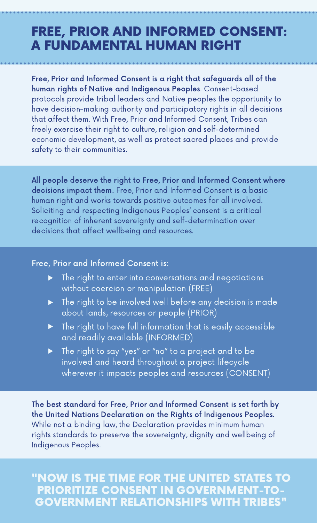### FREE, PRIOR AND INFORMED CONSENT: A FUNDAMENTAL HUMAN RIGHT

Free, Prior and Informed Consent is a right that safeguards all of the human rights of Native and Indigenous Peoples. Consent-based protocols provide tribal leaders and Native peoples the opportunity to have decision-making authority and participatory rights in all decisions that affect them. With Free, Prior and Informed Consent, Tribes can freely exercise their right to culture, religion and self-determined economic development, as well as protect sacred places and provide safety to their communities.

All people deserve the right to Free, Prior and Informed Consent where decisions impact them. Free, Prior and Informed Consent is a basic human right and works towards positive outcomes for all involved. Soliciting and respecting Indigenous Peoples' consent is a critical recognition of inherent sovereignty and self-determination over decisions that affect wellbeing and resources.

#### Free, Prior and Informed Consent is:

- The right to enter into conversations and negotiations without coercion or manipulation (FREE)
- The right to be involved well before any decision is made about lands, resources or people (PRIOR)
- The right to have full information that is easily accessible  $\blacktriangleright$ and readily available (INFORMED)
- The right to say "yes" or "no" to a project and to be involved and heard throughout a project lifecycle wherever it impacts peoples and resources (CONSENT)

The best standard for Free, Prior and Informed Consent is set forth by the United Nations Declaration on the Rights of Indigenous Peoples. While not a binding law, the Declaration provides minimum human rights standards to preserve the sovereignty, dignity and wellbeing of Indigenous Peoples.

"NOW IS THE TIME FOR THE UNITED STATES TO PRIORITIZE CONSENT IN GOVERNMENT-TO-GOVERNMENT RELATIONSHIPS WITH TRIBES"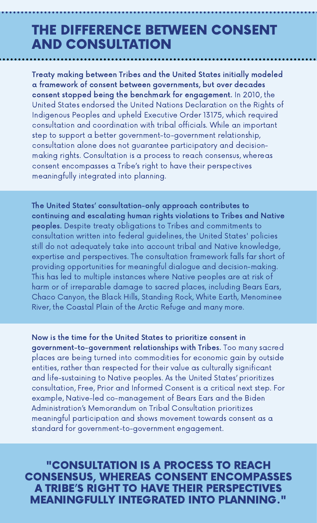## THE DIFFERENCE BETWEEN CONSENT AND CONSULTATION

Treaty making between Tribes and the United States initially modeled a framework of consent between governments, but over decades consent stopped being the benchmark for engagement. In 2010, the United States endorsed the United Nations Declaration on the Rights of Indigenous Peoples and upheld Executive Order 13175, which required consultation and coordination with tribal officials. While an important step to support a better government-to-government relationship, consultation alone does not guarantee participatory and decisionmaking rights. Consultation is a process to reach consensus, whereas consent encompasses a Tribe's right to have their perspectives meaningfully integrated into planning.

The United States' consultation-only approach contributes to continuing and escalating human rights violations to Tribes and Native peoples. Despite treaty obligations to Tribes and commitments to consultation written into federal guidelines, the United States' policies still do not adequately take into account tribal and Native knowledge, expertise and perspectives. The consultation framework falls far short of providing opportunities for meaningful dialogue and decision-making. This has led to multiple instances where Native peoples are at risk of harm or of irreparable damage to sacred places, including Bears Ears, Chaco Canyon, the Black Hills, Standing Rock, White Earth, Menominee River, the Coastal Plain of the Arctic Refuge and many more.

Now is the time for the United States to prioritize consent in government-to-government relationships with Tribes. Too many sacred places are being turned into commodities for economic gain by outside entities, rather than respected for their value as culturally significant and life-sustaining to Native peoples. As the United States' prioritizes consultation, Free, Prior and Informed Consent is a critical next step. For example, Native-led co-management of Bears Ears and the Biden Administration's Memorandum on Tribal Consultation prioritizes meaningful participation and shows movement towards consent as a standard for government-to-government engagement.

"CONSULTATION IS A PROCESS TO REACH CONSENSUS, WHEREAS CONSENT ENCOMPASSES A TRIBE'S RIGHT TO HAVE THEIR PERSPECTIVES MEANINGFULLY INTEGRATED INTO PLANNING."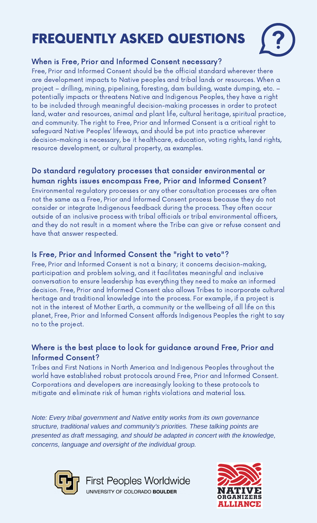# FREQUENTLY ASKED QUESTIONS



#### When is Free, Prior and Informed Consent necessary?

Free, Prior and Informed Consent should be the official standard wherever there are development impacts to Native peoples and tribal lands or resources. When a project – drilling, mining, pipelining, foresting, dam building, waste dumping, etc. – potentially impacts or threatens Native and Indigenous Peoples, they have a right to be included through meaningful decision-making processes in order to protect land, water and resources, animal and plant life, cultural heritage, spiritual practice, and community. The right to Free, Prior and Informed Consent is a critical right to safeguard Native Peoples' lifeways, and should be put into practice wherever decision-making is necessary, be it healthcare, education, voting rights, land rights, resource development, or cultural property, as examples.

#### Do standard regulatory processes that consider environmental or human rights issues encompass Free, Prior and Informed Consent?

Environmental regulatory processes or any other consultation processes are often not the same as a Free, Prior and Informed Consent process because they do not consider or integrate Indigenous feedback during the process. They often occur outside of an inclusive process with tribal officials or tribal environmental officers, and they do not result in a moment where the Tribe can give or refuse consent and have that answer respected.

#### Is Free, Prior and Informed Consent the "right to veto"?

Free, Prior and Informed Consent is not a binary; it concerns decision-making, participation and problem solving, and it facilitates meaningful and inclusive conversation to ensure leadership has everything they need to make an informed decision. Free, Prior and Informed Consent also allows Tribes to incorporate cultural heritage and traditional knowledge into the process. For example, if a project is not in the interest of Mother Earth, a community or the wellbeing of all life on this planet, Free, Prior and Informed Consent affords Indigenous Peoples the right to say no to the project.

#### Where is the best place to look for guidance around Free, Prior and Informed Consent?

Tribes and First Nations in North America and Indigenous Peoples throughout the world have established robust protocols around Free, Prior and Informed Consent. Corporations and developers are increasingly looking to these protocols to mitigate and eliminate risk of human rights violations and material loss.

*Note: Every tribal government and Native entity works from its own governance structure, traditional values and community's priorities. These talking points are presented as draft messaging, and should be adapted in concert with the knowledge, concerns, language and oversight of the individual group.*



**First Peoples Worldwide** UNIVERSITY OF COLORADO BOULDER